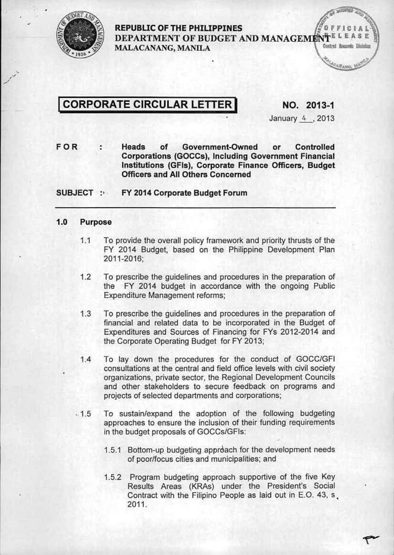

#### REPUBLIC OF THE PHILIPPINES DEPARTMENT OF BUDGET AND MANAGEMENTELEASE Control Rocords Divisio MALACANANG, MANILA

# CORPORATE CIRCULAR LETTER NO. 2013-1

January 4, 2013

FOR Heads of Government-Qwned or Controlled ÷ Corporations (GOCCs), Including Government Financial Institutions {GFls), Corporate Finance Officers, Budget Officers and All Others Concerned

SUBJECT : FY 2014 Corporate Budget Forum

#### 1.0 Purpose

- 1.1 To provide the overall policy framework and priority thrusts of the FY 2014 Budget, based on the Philippine Development Plan 2011-2016;
- 1.2 To prescribe the guidelines and procedures in the preparation of the FY 2014 budget in accordance with the ongoing Public Expenditure Management reforms;
- 1.3 To prescribe the guidelines and procedures in the preparation of financial and related data to be incorporated in the Budget of Expenditures and Sources of Financing for FYs 2012-2014 and the Corporate Operating Budget for FY 2013;
- 1.4 To lay down the procedures for the conduct of *GOCCfGFI* consultations at the central and field office levels with civil society organizations. private sector, the Regional Development Councils and other stakeholders to secure feedback on programs and projects of selected departments and corporations;
- $.1.5$  To sustain/expand the adoption of the following budgeting approaches to ensure the inclusion of their funding requirements in the budget proposals of GOCCs/GFIs:
	- 1.5.1 Bottom-up budgeting approach for the development needs of poorlfocus cities and municipalities; and
	- 1.5.2 Program budgeting approach supportive of the five Key Results Areas (KRAs) under the President's Social Contract with the Filipino People as laid out in E.O. 43, s. 2011.